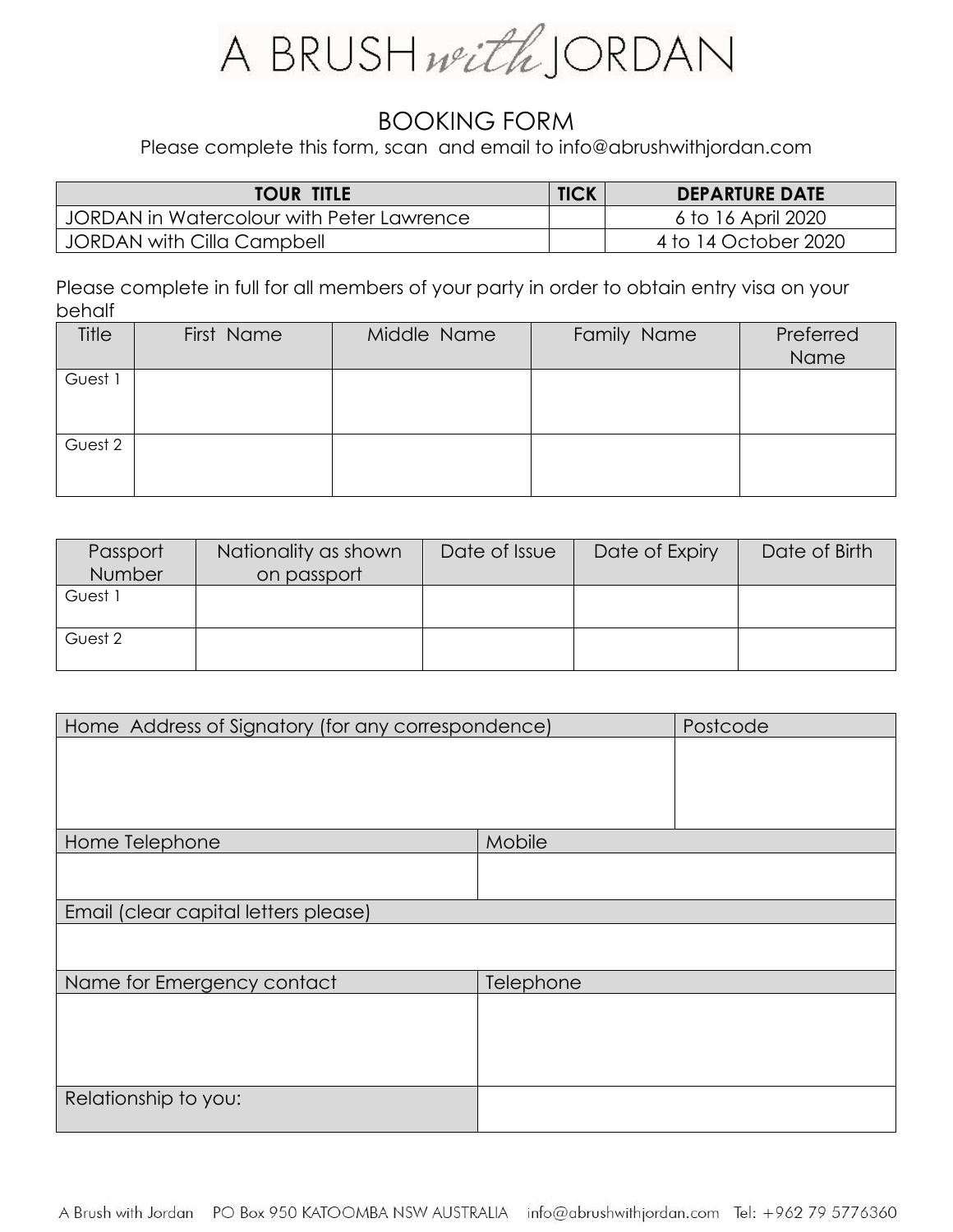

## BOOKING FORM

Please complete this form, scan and email to info@abrushwithjordan.com

| <b>TOUR TITLE</b>                         | <b>TICK</b> | <b>DEPARTURE DATE</b> |
|-------------------------------------------|-------------|-----------------------|
| JORDAN in Watercolour with Peter Lawrence |             | 6 to 16 April 2020    |
| <b>JORDAN with Cilla Campbell</b>         |             | 4 to 14 October 2020  |

Please complete in full for all members of your party in order to obtain entry visa on your behalf

| <b>Title</b> | First Name | Middle Name | Family Name | Preferred<br>Name |
|--------------|------------|-------------|-------------|-------------------|
| Guest 1      |            |             |             |                   |
| Guest 2      |            |             |             |                   |

| Passport | Nationality as shown | Date of Issue | Date of Expiry | Date of Birth |
|----------|----------------------|---------------|----------------|---------------|
| Number   | on passport          |               |                |               |
| Guest 1  |                      |               |                |               |
|          |                      |               |                |               |
| Guest 2  |                      |               |                |               |
|          |                      |               |                |               |

| Home Address of Signatory (for any correspondence) |           | Postcode |
|----------------------------------------------------|-----------|----------|
|                                                    |           |          |
|                                                    |           |          |
|                                                    |           |          |
|                                                    | Mobile    |          |
| Home Telephone                                     |           |          |
|                                                    |           |          |
|                                                    |           |          |
| Email (clear capital letters please)               |           |          |
|                                                    |           |          |
|                                                    |           |          |
| Name for Emergency contact                         | Telephone |          |
|                                                    |           |          |
|                                                    |           |          |
|                                                    |           |          |
|                                                    |           |          |
| Relationship to you:                               |           |          |
|                                                    |           |          |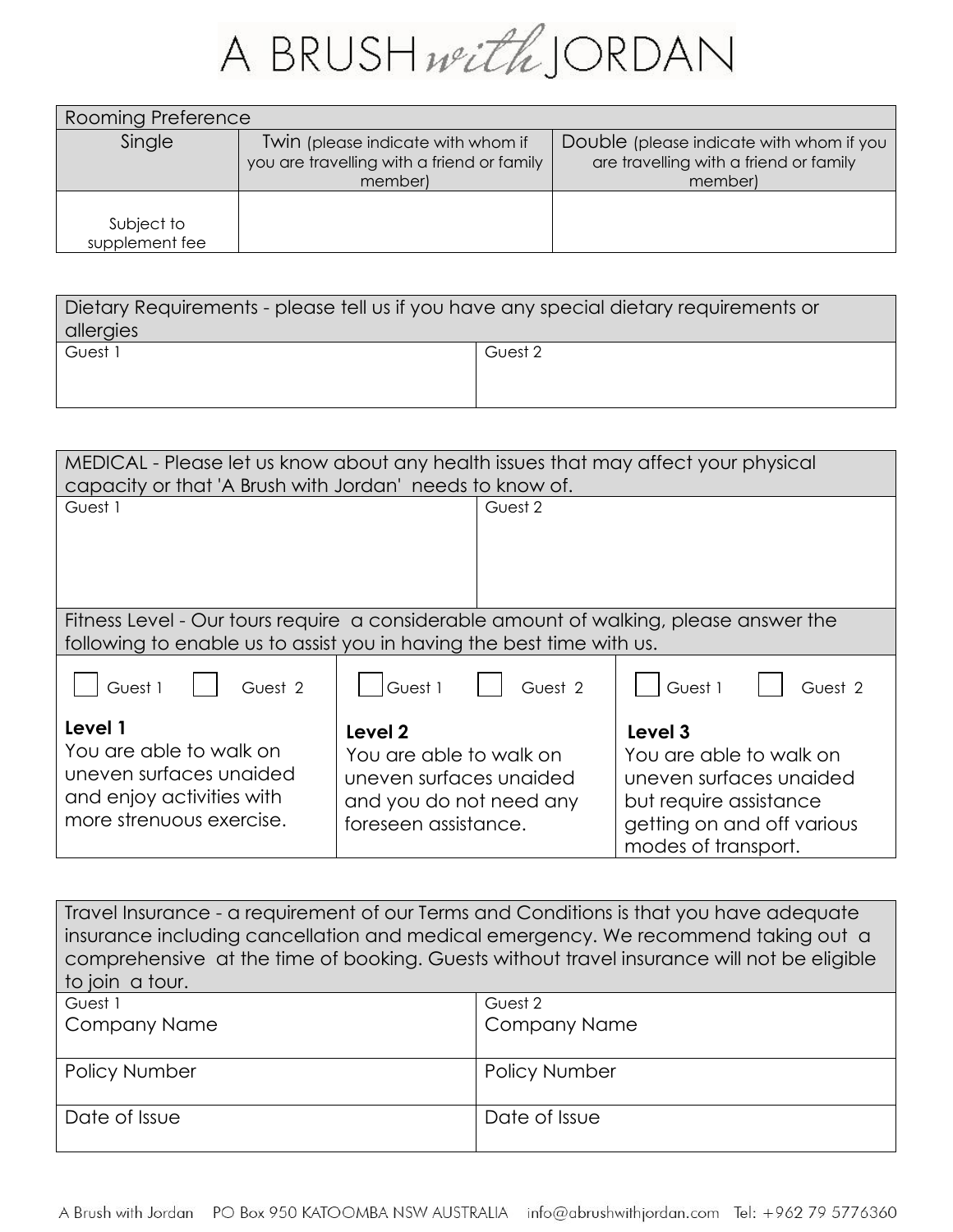

| Rooming Preference           |                                                                                             |                                                                                               |  |
|------------------------------|---------------------------------------------------------------------------------------------|-----------------------------------------------------------------------------------------------|--|
| Single                       | Twin (please indicate with whom if<br>you are travelling with a friend or family<br>member) | Double (please indicate with whom if you<br>are travelling with a friend or family<br>member) |  |
| Subject to<br>supplement fee |                                                                                             |                                                                                               |  |

| Dietary Requirements - please tell us if you have any special dietary requirements or |         |  |
|---------------------------------------------------------------------------------------|---------|--|
| allergies                                                                             |         |  |
| Guest 1                                                                               | Guest 2 |  |
|                                                                                       |         |  |
|                                                                                       |         |  |

| MEDICAL - Please let us know about any health issues that may affect your physical<br>capacity or that 'A Brush with Jordan' needs to know of.                 |                                                                                                                  |                                                                                                                                              |  |
|----------------------------------------------------------------------------------------------------------------------------------------------------------------|------------------------------------------------------------------------------------------------------------------|----------------------------------------------------------------------------------------------------------------------------------------------|--|
| Guest 1                                                                                                                                                        | Guest 2                                                                                                          |                                                                                                                                              |  |
| Fitness Level - Our tours require a considerable amount of walking, please answer the<br>following to enable us to assist you in having the best time with us. |                                                                                                                  |                                                                                                                                              |  |
| Guest 1<br>Guest 2                                                                                                                                             | Guest 1<br>Guest 2                                                                                               | Guest 1<br>Guest 2                                                                                                                           |  |
| Level 1<br>You are able to walk on<br>uneven surfaces unaided<br>and enjoy activities with<br>more strenuous exercise.                                         | Level 2<br>You are able to walk on<br>uneven surfaces unaided<br>and you do not need any<br>foreseen assistance. | Level 3<br>You are able to walk on<br>uneven surfaces unaided<br>but require assistance<br>getting on and off various<br>modes of transport. |  |

| Travel Insurance - a requirement of our Terms and Conditions is that you have adequate     |                      |  |
|--------------------------------------------------------------------------------------------|----------------------|--|
| insurance including cancellation and medical emergency. We recommend taking out a          |                      |  |
| comprehensive at the time of booking. Guests without travel insurance will not be eligible |                      |  |
| to join a tour.                                                                            |                      |  |
| Guest 1                                                                                    | Guest 2              |  |
| <b>Company Name</b><br><b>Company Name</b>                                                 |                      |  |
|                                                                                            |                      |  |
| Policy Number                                                                              | <b>Policy Number</b> |  |
| Date of Issue<br>Date of Issue                                                             |                      |  |